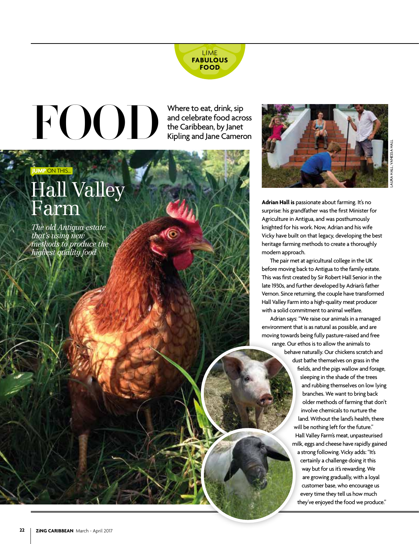

# $F(O<sub>0</sub>)$

Where to eat, drink, sip and celebrate food across the Caribbean, by Janet Kipling and Jane Cameron



# Hall Valley Farm

*The old Antigua estate that's using new methods to produce the highest quality food*



**Adrian Hall is** passionate about farming. It's no surprise: his grandfather was the first Minister for Agriculture in Antigua, and was posthumously knighted for his work. Now, Adrian and his wife Vicky have built on that legacy, developing the best heritage farming methods to create a thoroughly modern approach.

The pair met at agricultural college in the UK before moving back to Antigua to the family estate. This was first created by Sir Robert Hall Senior in the late 1930s, and further developed by Adrian's father Vernon. Since returning, the couple have transformed Hall Valley Farm into a high-quality meat producer with a solid commitment to animal welfare.

Adrian says: "We raise our animals in a managed environment that is as natural as possible, and are moving towards being fully pasture-raised and free range. Our ethos is to allow the animals to behave naturally. Our chickens scratch and dust bathe themselves on grass in the fields, and the pigs wallow and forage, sleeping in the shade of the trees and rubbing themselves on low lying branches. We want to bring back older methods of farming that don't involve chemicals to nurture the land. Without the land's health, there will be nothing left for the future." Hall Valley Farm's meat, unpasteurised milk, eggs and cheese have rapidly gained a strong following. Vicky adds: "It's certainly a challenge doing it this way but for us it's rewarding. We are growing gradually, with a loyal customer base, who encourage us every time they tell us how much they've enjoyed the food we produce."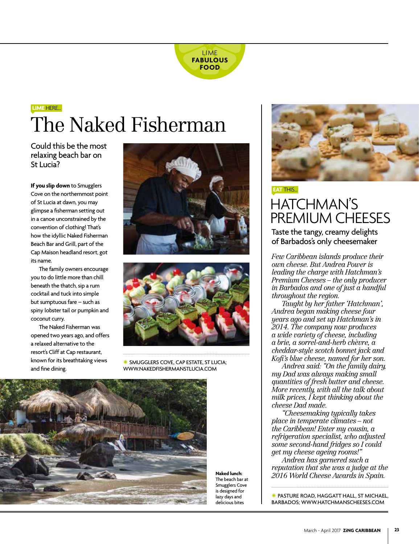

## The Naked Fisherman **LIME** HERE…

Could this be the most relaxing beach bar on St Lucia?

**If you slip down** to Smugglers Cove on the northernmost point of St Lucia at dawn, you may glimpse a fisherman setting out in a canoe unconstrained by the convention of clothing! That's how the idyllic Naked Fisherman Beach Bar and Grill, part of the Cap Maison headland resort, got its name.

The family owners encourage you to do little more than chill beneath the thatch, sip a rum cocktail and tuck into simple but sumptuous fare – such as spiny lobster tail or pumpkin and coconut curry.

The Naked Fisherman was opened two years ago, and offers a relaxed alternative to the resort's Cliff at Cap restaurant, known for its breathtaking views and fine dining.





SMUGGLERS COVE, CAP ESTATE, ST LUCIA; WWW.NAKEDFISHERMANSTLUCIA.COM

**Naked lunch:**  The beach bar at Smugglers Cove is designed for lazy days and delicious bites



#### HATCHMAN'S PREMIUM CHEESES **EAT** THIS…

Taste the tangy, creamy delights of Barbados's only cheesemaker

*Few Caribbean islands produce their own cheese. But Andrea Power is leading the charge with Hatchman's Premium Cheeses – the only producer in Barbados and one of just a handful throughout the region.*

*Taught by her father 'Hatchman', Andrea began making cheese four years ago and set up Hatchman's in 2014. The company now produces a wide variety of cheese, including a brie, a sorrel-and-herb chèvre, a cheddar-style scotch bonnet jack and Kofi's blue cheese, named for her son.*

*Andrea said: "On the family dairy, my Dad was always making small quantities of fresh butter and cheese. More recently, with all the talk about milk prices, I kept thinking about the cheese Dad made.* 

*"Cheesemaking typically takes place in temperate climates – not the Caribbean! Enter my cousin, a refrigeration specialist, who adjusted some second-hand fridges so I could get my cheese ageing rooms!"*

*Andrea has garnered such a reputation that she was a judge at the 2016 World Cheese Awards in Spain.* 

\* PASTURE ROAD, HAGGATT HALL, ST MICHAEL, BARBADOS; WWW.HATCHMANSCHEESES.COM